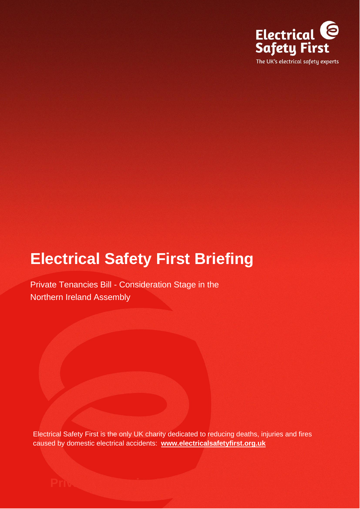

## **Electrical Safety First Briefing**

Private Tenancies Bill - Consideration Stage in the Northern Ireland Assembly

Electrical Safety First is the only UK charity dedicated to reducing deaths, injuries and fires caused by domestic electrical accidents: **[www.electricalsafetyfirst.org.uk](http://www.electricalsafetyfirst.org.uk/)**